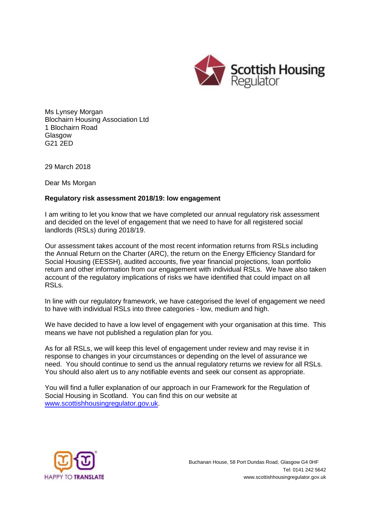

Ms Lynsey Morgan Blochairn Housing Association Ltd 1 Blochairn Road Glasgow G21 2ED

29 March 2018

Dear Ms Morgan

## **Regulatory risk assessment 2018/19: low engagement**

I am writing to let you know that we have completed our annual regulatory risk assessment and decided on the level of engagement that we need to have for all registered social landlords (RSLs) during 2018/19.

Our assessment takes account of the most recent information returns from RSLs including the Annual Return on the Charter (ARC), the return on the Energy Efficiency Standard for Social Housing (EESSH), audited accounts, five year financial projections, loan portfolio return and other information from our engagement with individual RSLs. We have also taken account of the regulatory implications of risks we have identified that could impact on all RSLs.

In line with our regulatory framework, we have categorised the level of engagement we need to have with individual RSLs into three categories - low, medium and high.

We have decided to have a low level of engagement with your organisation at this time. This means we have not published a regulation plan for you.

As for all RSLs, we will keep this level of engagement under review and may revise it in response to changes in your circumstances or depending on the level of assurance we need. You should continue to send us the annual regulatory returns we review for all RSLs. You should also alert us to any notifiable events and seek our consent as appropriate.

You will find a fuller explanation of our approach in our Framework for the Regulation of Social Housing in Scotland. You can find this on our website at [www.scottishhousingregulator.gov.uk.](http://www.scottishhousingregulator.gov.uk/)